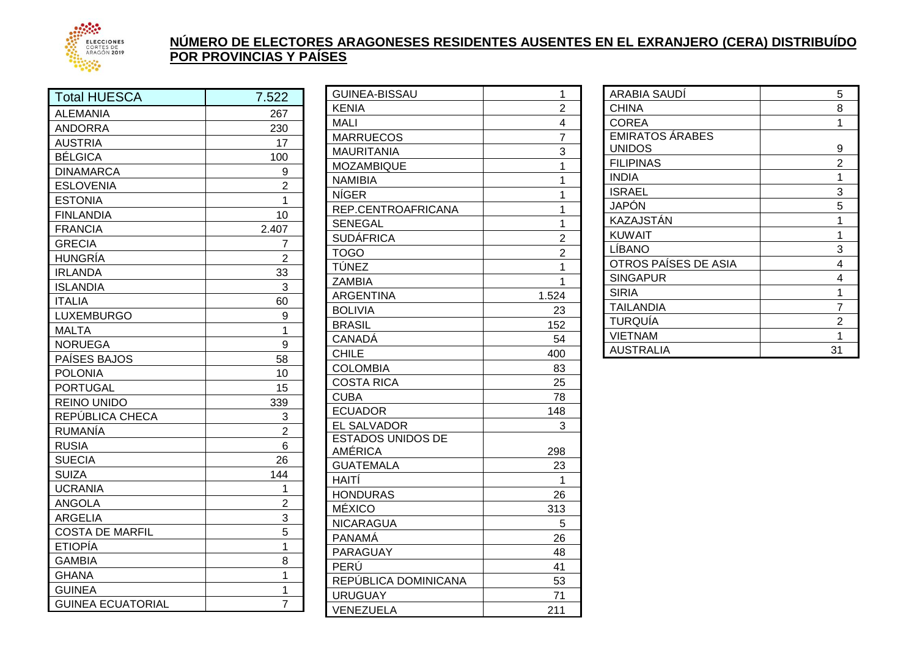

## **NÚMERO DE ELECTORES ARAGONESES RESIDENTES AUSENTES EN EL EXRANJERO (CERA) DISTRIBUÍDO POR PROVINCIAS Y PAÍSES**

| <b>Total HUESCA</b>      | 7.522          |
|--------------------------|----------------|
| <b>ALEMANIA</b>          | 267            |
| <b>ANDORRA</b>           | 230            |
| <b>AUSTRIA</b>           | 17             |
| <b>BÉLGICA</b>           | 100            |
| <b>DINAMARCA</b>         | 9              |
| <b>ESLOVENIA</b>         | $\overline{c}$ |
| <b>ESTONIA</b>           | $\overline{1}$ |
| <b>FINLANDIA</b>         | 10             |
| <b>FRANCIA</b>           | 2.407          |
| <b>GRECIA</b>            | 7              |
| HUNGRÍA                  | $\overline{2}$ |
| <b>IRLANDA</b>           | 33             |
| <b>ISLANDIA</b>          | 3              |
| <b>ITALIA</b>            | 60             |
| <b>LUXEMBURGO</b>        | 9              |
| <b>MALTA</b>             | 1              |
| <b>NORUEGA</b>           | 9              |
| PAÍSES BAJOS             | 58             |
| <b>POLONIA</b>           | 10             |
| <b>PORTUGAL</b>          | 15             |
| <b>REINO UNIDO</b>       | 339            |
| REPÚBLICA CHECA          | 3              |
| RUMANÍA                  | $\overline{c}$ |
| <b>RUSIA</b>             | 6              |
| <b>SUECIA</b>            | 26             |
| <b>SUIZA</b>             | 144            |
| <b>UCRANIA</b>           | 1              |
| <b>ANGOLA</b>            | $\overline{2}$ |
| <b>ARGELIA</b>           | 3              |
| <b>COSTA DE MARFIL</b>   | $\overline{5}$ |
| <b>ETIOPÍA</b>           | $\overline{1}$ |
| <b>GAMBIA</b>            | 8              |
| <b>GHANA</b>             | 1              |
| <b>GUINEA</b>            | 1              |
| <b>GUINEA ECUATORIAL</b> | $\overline{7}$ |

| <b>GUINEA-BISSAU</b>     | 1              |
|--------------------------|----------------|
| <b>KENIA</b>             | $\overline{2}$ |
| MALI                     | 4              |
| <b>MARRUECOS</b>         | $\overline{7}$ |
| <b>MAURITANIA</b>        | 3              |
| MOZAMBIQUE               | 1              |
| <b>NAMIBIA</b>           | $\overline{1}$ |
| <b>NÍGER</b>             | 1              |
| REP.CENTROAFRICANA       | 1              |
| <b>SENEGAL</b>           | 1              |
| <b>SUDÁFRICA</b>         | $\overline{2}$ |
| <b>TOGO</b>              | $\overline{2}$ |
| TÚNEZ                    | 1              |
| <b>ZAMBIA</b>            | 1              |
| <b>ARGENTINA</b>         | 1.524          |
| <b>BOLIVIA</b>           | 23             |
| <b>BRASIL</b>            | 152            |
| <b>CANADÁ</b>            | 54             |
| <b>CHILE</b>             | 400            |
| <b>COLOMBIA</b>          | 83             |
| <b>COSTA RICA</b>        | 25             |
| <b>CUBA</b>              | 78             |
| <b>ECUADOR</b>           | 148            |
| <b>EL SALVADOR</b>       | 3              |
| <b>ESTADOS UNIDOS DE</b> |                |
| AMÉRICA                  | 298            |
| <b>GUATEMALA</b>         | 23             |
| HAITÍ                    | $\mathbf 1$    |
| <b>HONDURAS</b>          | 26             |
| <b>MÉXICO</b>            | 313            |
| <b>NICARAGUA</b>         | 5              |
| <b>PANAMÁ</b>            | 26             |
| PARAGUAY                 | 48             |
| PERÚ                     | 41             |
| REPÚBLICA DOMINICANA     | 53             |
| <b>URUGUAY</b>           | 71             |
| VENEZUELA                | 211            |

| ARABIA SAUDI           | 5              |
|------------------------|----------------|
| <b>CHINA</b>           | 8              |
| <b>COREA</b>           | 1              |
| <b>EMIRATOS ÁRABES</b> |                |
| <b>UNIDOS</b>          | 9              |
| <b>FILIPINAS</b>       | $\overline{2}$ |
| <b>INDIA</b>           | 1              |
| <b>ISRAEL</b>          | 3              |
| <b>JAPÓN</b>           | 5              |
| KAZAJSTÁN              | 1              |
| <b>KUWAIT</b>          | 1              |
| LÍBANO                 | 3              |
| OTROS PAÍSES DE ASIA   | 4              |
| <b>SINGAPUR</b>        | 4              |
| <b>SIRIA</b>           | 1              |
| TAILANDIA              | 7              |
| TURQUÍA                | 2              |
| <b>VIETNAM</b>         |                |
| AUSTRALIA              | 31             |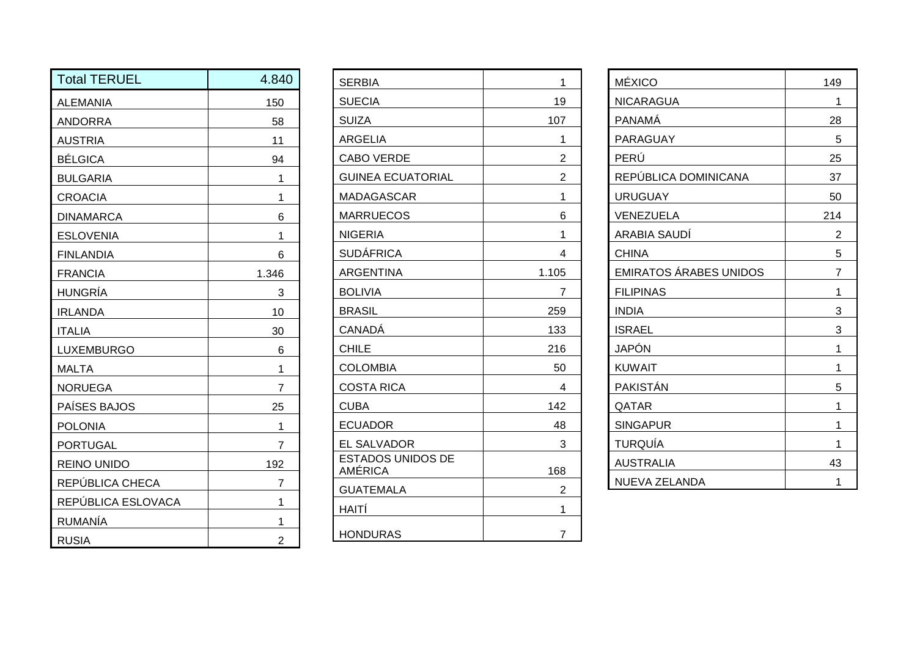| <b>Total TERUEL</b> | 4.840          | <b>SERBIA</b>                              | $\mathbf{1}$   |
|---------------------|----------------|--------------------------------------------|----------------|
| <b>ALEMANIA</b>     | 150            | <b>SUECIA</b>                              | 19             |
| <b>ANDORRA</b>      | 58             | <b>SUIZA</b>                               | 107            |
| <b>AUSTRIA</b>      | 11             | <b>ARGELIA</b>                             |                |
| <b>BÉLGICA</b>      | 94             | <b>CABO VERDE</b>                          | $\overline{2}$ |
| <b>BULGARIA</b>     | 1              | <b>GUINEA ECUATORIAL</b>                   | $\overline{2}$ |
| <b>CROACIA</b>      | 1              | <b>MADAGASCAR</b>                          |                |
| <b>DINAMARCA</b>    | 6              | <b>MARRUECOS</b>                           | 6              |
| <b>ESLOVENIA</b>    | 1              | <b>NIGERIA</b>                             |                |
| <b>FINLANDIA</b>    | 6              | <b>SUDÁFRICA</b>                           | $\overline{4}$ |
| <b>FRANCIA</b>      | 1.346          | <b>ARGENTINA</b>                           | 1.105          |
| <b>HUNGRÍA</b>      | 3              | <b>BOLIVIA</b>                             | $\overline{7}$ |
| <b>IRLANDA</b>      | 10             | <b>BRASIL</b>                              | 259            |
| <b>ITALIA</b>       | 30             | <b>CANADÁ</b>                              | 133            |
| LUXEMBURGO          | 6              | <b>CHILE</b>                               | 216            |
| <b>MALTA</b>        | 1              | <b>COLOMBIA</b>                            | 50             |
| <b>NORUEGA</b>      | $\overline{7}$ | <b>COSTA RICA</b>                          | $\overline{4}$ |
| PAÍSES BAJOS        | 25             | <b>CUBA</b>                                | 142            |
| <b>POLONIA</b>      | 1              | <b>ECUADOR</b>                             | 48             |
| <b>PORTUGAL</b>     | $\overline{7}$ | <b>EL SALVADOR</b>                         | 3              |
| <b>REINO UNIDO</b>  | 192            | <b>ESTADOS UNIDOS DE</b><br><b>AMÉRICA</b> | 168            |
| REPÚBLICA CHECA     | $\overline{7}$ | <b>GUATEMALA</b>                           | $\overline{2}$ |
| REPÚBLICA ESLOVACA  | 1              | HAITÍ                                      | 1              |
| <b>RUMANÍA</b>      | 1              |                                            |                |
| <b>RUSIA</b>        | $\overline{2}$ | <b>HONDURAS</b>                            | 7              |

| <b>SERBIA</b>                              | 1              |
|--------------------------------------------|----------------|
| <b>SUECIA</b>                              | 19             |
| <b>SUIZA</b>                               | 107            |
| <b>ARGELIA</b>                             | 1              |
| <b>CABO VERDE</b>                          | 2              |
| <b>GUINEA ECUATORIAL</b>                   | 2              |
| MADAGASCAR                                 | 1              |
| MARRUECOS                                  | 6              |
| <b>NIGERIA</b>                             | 1              |
| <b>SUDÁFRICA</b>                           | 4              |
| <b>ARGENTINA</b>                           | 1.105          |
| <b>BOLIVIA</b>                             | $\overline{7}$ |
| <b>BRASIL</b>                              | 259            |
| <b>CANADÁ</b>                              | 133            |
| <b>CHILE</b>                               | 216            |
| <b>COLOMBIA</b>                            | 50             |
| <b>COSTA RICA</b>                          | 4              |
| <b>CUBA</b>                                | 142            |
| <b>ECUADOR</b>                             | 48             |
| EL SALVADOR                                | 3              |
| <b>ESTADOS UNIDOS DE</b><br><b>AMÉRICA</b> | 168            |
| <b>GUATEMALA</b>                           | 2              |
| HAITÍ                                      | 1              |
| <b>HONDURAS</b>                            | $\overline{7}$ |

| <b>MÉXICO</b>                 | 149 |
|-------------------------------|-----|
| <b>NICARAGUA</b>              | 1   |
| <b>PANAMA</b>                 | 28  |
| PARAGUAY                      | 5   |
| PERÚ                          | 25  |
| REPÚBLICA DOMINICANA          | 37  |
| <b>URUGUAY</b>                | 50  |
| VENEZUELA                     | 214 |
| <b>ARABIA SAUDÍ</b>           | 2   |
| <b>CHINA</b>                  | 5   |
| <b>EMIRATOS ÁRABES UNIDOS</b> | 7   |
| <b>FILIPINAS</b>              | 1   |
| <b>INDIA</b>                  | 3   |
| <b>ISRAEL</b>                 | 3   |
| <b>JAPÓN</b>                  | 1   |
| <b>KUWAIT</b>                 | 1   |
| PAKISTÁN                      | 5   |
| QATAR                         | 1   |
| <b>SINGAPUR</b>               | 1   |
| TURQUÍA                       | 1   |
| <b>AUSTRALIA</b>              | 43  |
| <b>NUEVA ZELANDA</b>          | 1   |